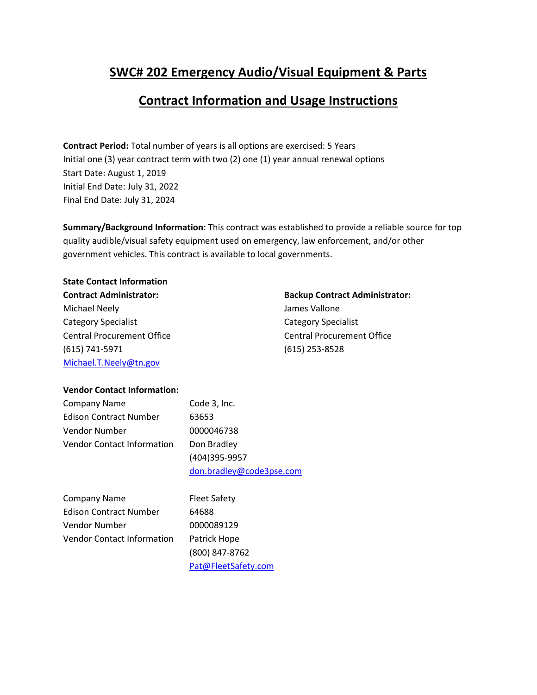## **SWC# 202 Emergency Audio/Visual Equipment & Parts**

# **Contract Information and Usage Instructions**

**Contract Period:** Total number of years is all options are exercised: 5 Years Initial one (3) year contract term with two (2) one (1) year annual renewal options Start Date: August 1, 2019 Initial End Date: July 31, 2022 Final End Date: July 31, 2024

**Summary/Background Information**: This contract was established to provide a reliable source for top quality audible/visual safety equipment used on emergency, law enforcement, and/or other government vehicles. This contract is available to local governments.

**State Contact Information** Michael Neely **Accord 2018** Michael Neely Category Specialist Category Specialist Central Procurement Office Central Procurement Office (615) 741-5971 (615) 253-8528 [Michael.T.Neely@tn.gov](mailto:Michael.T.Neely@tn.gov)

**Contract Administrator: Backup Contract Administrator:**

#### **Vendor Contact Information:**

| <b>Company Name</b>           | Code 3, Inc.  |
|-------------------------------|---------------|
| <b>Edison Contract Number</b> | 63653         |
| Vendor Number                 | 0000046738    |
| Vendor Contact Information    | Don Bradley   |
|                               | (101)20E 00E7 |

(404)395-9957 [don.bradley@code3pse.com](mailto:don.bradley@code3pse.com)

Company Name Fleet Safety Edison Contract Number 64688 Vendor Number 0000089129 Vendor Contact Information Patrick Hope

(800) 847-8762 [Pat@FleetSafety.com](mailto:Pat@FleetSafety.com)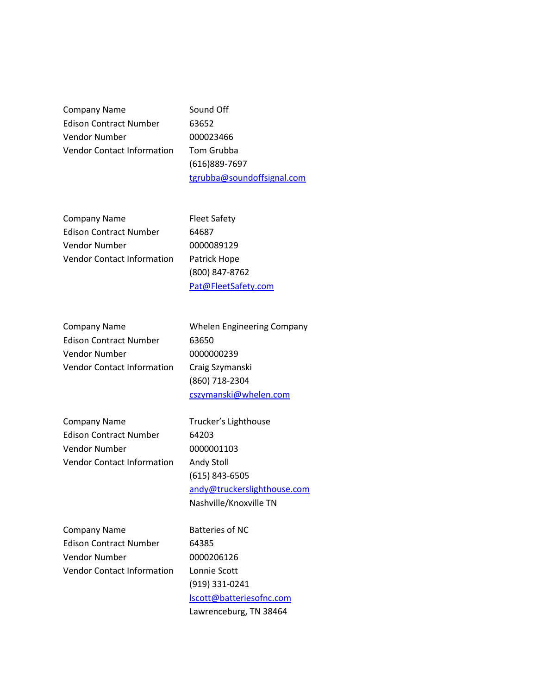Company Name Sound Off Edison Contract Number 63652 Vendor Number 000023466 Vendor Contact Information Tom Grubba

(616)889-7697 [tgrubba@soundoffsignal.com](mailto:tgrubba@soundoffsignal.com)

Company Name Fleet Safety Edison Contract Number 64687 Vendor Number 0000089129 Vendor Contact Information Patrick Hope

(800) 847-8762 [Pat@FleetSafety.com](mailto:Pat@FleetSafety.com)

Company Name Whelen Engineering Company Edison Contract Number 63650 Vendor Number 0000000239 Vendor Contact Information Craig Szymanski

(860) 718-2304 [cszymanski@whelen.com](mailto:emaurice@whelen.com)

Company Name Trucker's Lighthouse Edison Contract Number 64203 Vendor Number 0000001103 Vendor Contact Information Andy Stoll

(615) 843-6505 [andy@truckerslighthouse.com](mailto:andy@truckerslighthouse.com) Nashville/Knoxville TN

Company Name Batteries of NC Edison Contract Number 64385 Vendor Number 0000206126 Vendor Contact Information Lonnie Scott

(919) 331-0241 [lscott@batteriesofnc.com](mailto:lscott@batteriesofnc.com) Lawrenceburg, TN 38464